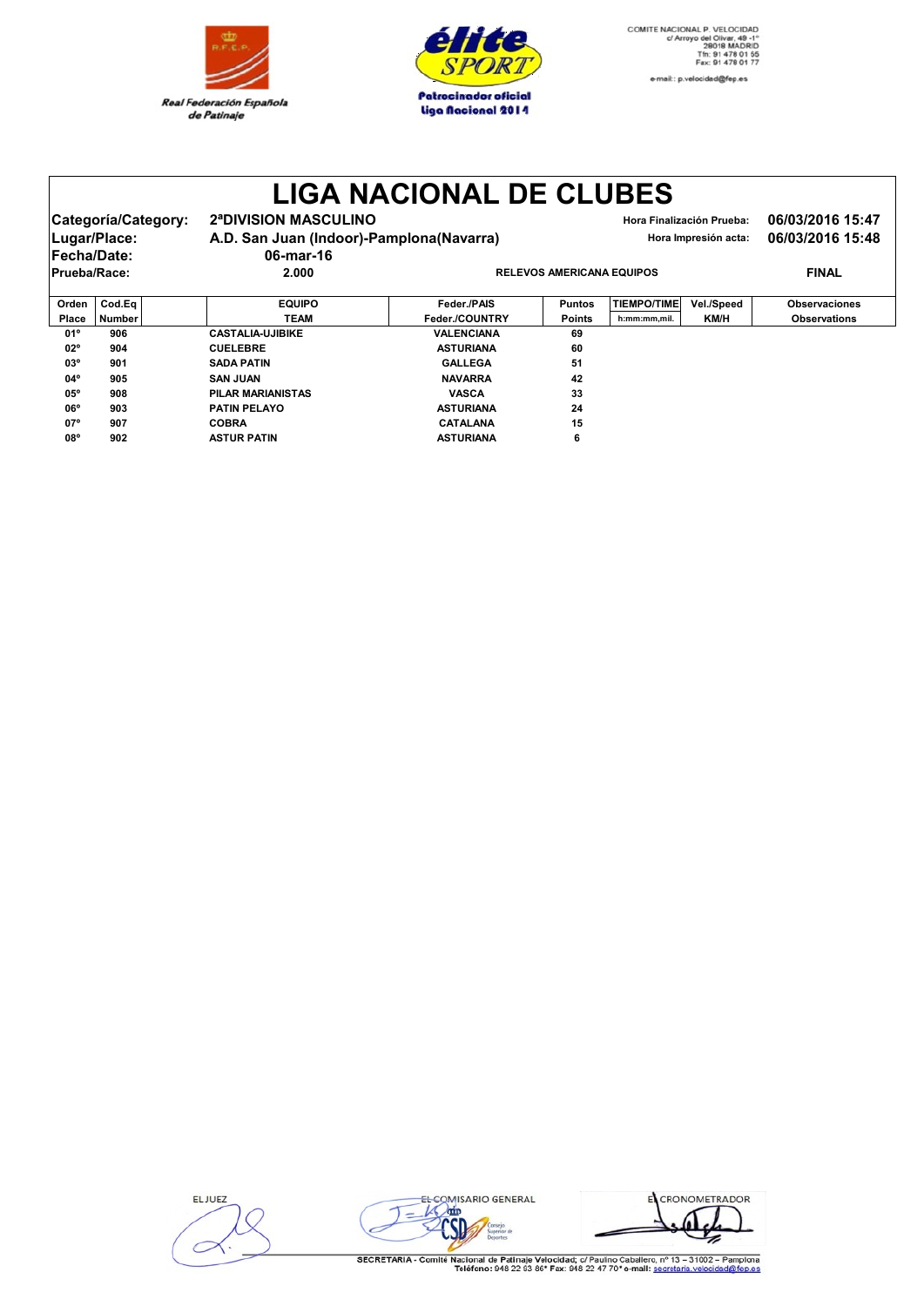

**03 PILAR MARIANISTAS** 

**02º 904 CUELEBRE CUELEBRE ASTURIANA 60 03º 901 SADA PATIN SADA PATIN GALLEGA 51 04º 905 SAN JUAN SAN JUAN NAVARRA 42**

**06º 903 PATIN PELAYOPATIN PELAYO ASTURIANA 24 07º 907 COBRA COBRA CATALANA 15 08º 902 ASTUR PATINASTUR PATIN ASTURIANA 6**



## **LIGA NACIONAL DE CLUBES**

Categoría/Category: 2ªDIVISION MASCULINO<br>
Hora Finalización Prueba: 06/03/2016 15:47 Lugar/Place: **A.D. San Juan (Indoor)-Pamplona(Navarra)** Hora Impresión acta: 06/03/2016 15:48 **Fecha/Date: 06-mar-16 PRELEVOS AMERICANA EQUIPOS PINAL Orden Cod.Eq EQUIPO Feder./PAIS Puntos TIEMPO/TIME Vel./Speed Observaciones Place Number TEAM Feder./COUNTRY Points h:mm:mm,mil. KM/H Observations 01º 906 CASTALIA CASTALIA-UJIBIKE VALENCIANA 69**

| <b>ELJUEZ</b> |  |
|---------------|--|
|               |  |
|               |  |
|               |  |



EL CRONOMETRADOR

SECRETARIA - Comité Nacional de Patinaje Velocidad; c/ Paulino Caballero, nº 13 - 31002 - Pamplona<br>Teléfono: 948 22 93 86\* Fax: 948 22 47 70\* e-mail: secretaria.velocidad@fep.es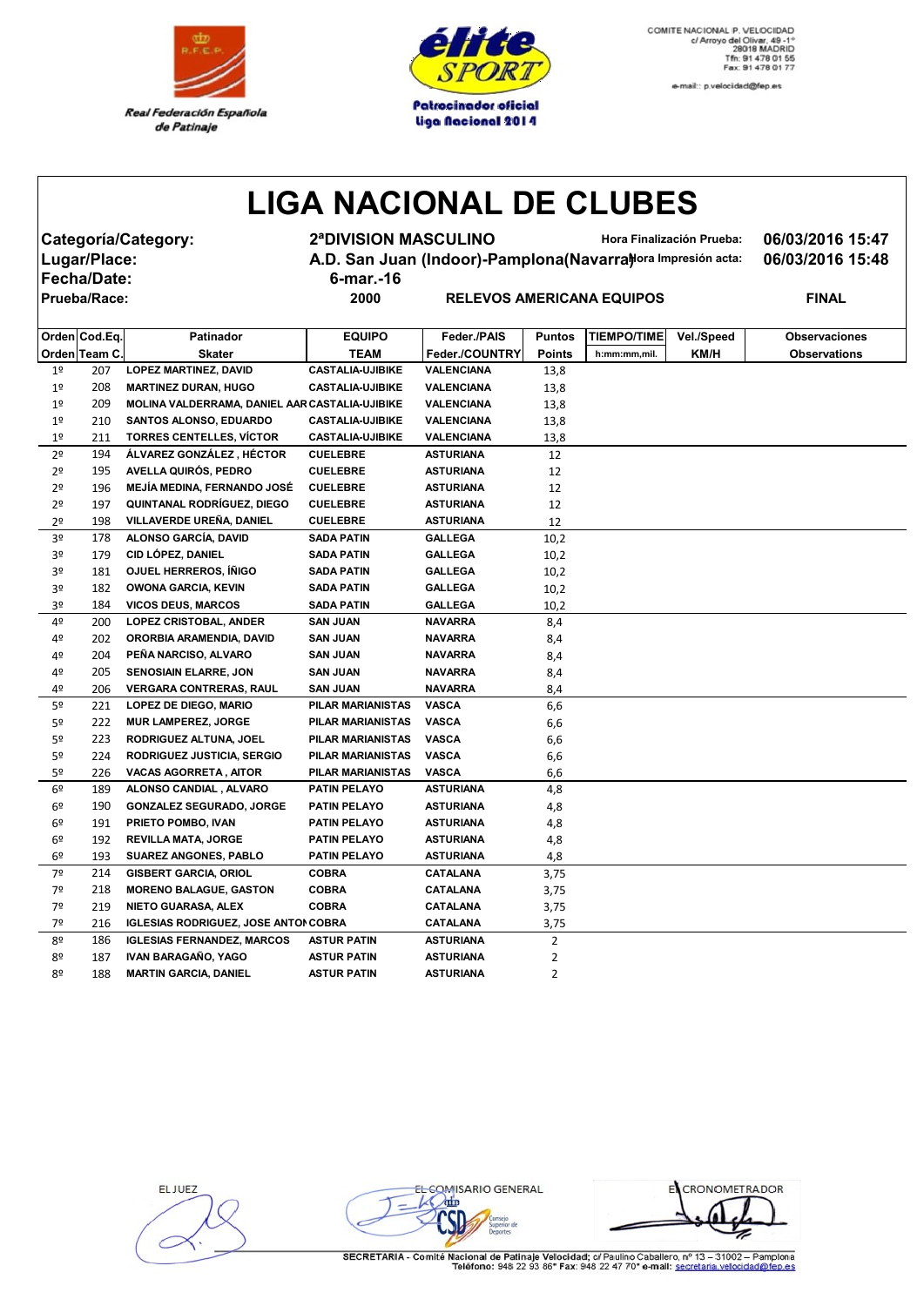



e-mail:: p.velocidad@fep.es

## **LIGA NACIONAL DE CLUBES**

**Fecha/Date: 6-mar.-16**

**Categoría/Category: 2ªDIVISION MASCULINO Hora Finalización Prueba: 06/03/2016 15:47** Lugar/Place: **A.D. San Juan (Indoor)-Pamplona(Navarra)***Hora Impresión acta:* **06/03/2016 15:48** 

 $R$  **PRIECANA EQUIPOS PINAL** 

|                | Orden Cod.Eq. | Patinador                                      | <b>EQUIPO</b>           | Feder./PAIS       | <b>Puntos</b> | <b>TIEMPO/TIME</b> | Vel./Speed | <b>Observaciones</b> |
|----------------|---------------|------------------------------------------------|-------------------------|-------------------|---------------|--------------------|------------|----------------------|
|                | Orden Team C. | Skater                                         | <b>TEAM</b>             | Feder./COUNTRY    | <b>Points</b> | h:mm:mm,mil.       | KM/H       | <b>Observations</b>  |
| 1 <sup>°</sup> | 207           | <b>LOPEZ MARTINEZ, DAVID</b>                   | <b>CASTALIA-UJIBIKE</b> | <b>VALENCIANA</b> | 13,8          |                    |            |                      |
| 1 <sup>°</sup> | 208           | <b>MARTINEZ DURAN, HUGO</b>                    | <b>CASTALIA-UJIBIKE</b> | VALENCIANA        | 13,8          |                    |            |                      |
| 1 <sup>°</sup> | 209           | MOLINA VALDERRAMA, DANIEL AAR CASTALIA-UJIBIKE |                         | VALENCIANA        | 13,8          |                    |            |                      |
| 1 <sup>°</sup> | 210           | SANTOS ALONSO, EDUARDO                         | <b>CASTALIA-UJIBIKE</b> | VALENCIANA        | 13,8          |                    |            |                      |
| 1 <sup>°</sup> | 211           | <b>TORRES CENTELLES, VÍCTOR</b>                | <b>CASTALIA-UJIBIKE</b> | VALENCIANA        | 13,8          |                    |            |                      |
| 2º             | 194           | ÁLVAREZ GONZÁLEZ, HÉCTOR                       | <b>CUELEBRE</b>         | <b>ASTURIANA</b>  | 12            |                    |            |                      |
| 2 <sup>o</sup> | 195           | AVELLA QUIRÓS, PEDRO                           | <b>CUELEBRE</b>         | <b>ASTURIANA</b>  | 12            |                    |            |                      |
| 2º             | 196           | <b>MEJÍA MEDINA, FERNANDO JOSÉ</b>             | <b>CUELEBRE</b>         | ASTURIANA         | 12            |                    |            |                      |
| 2 <sup>o</sup> | 197           | <b>QUINTANAL RODRÍGUEZ, DIEGO</b>              | <b>CUELEBRE</b>         | <b>ASTURIANA</b>  | 12            |                    |            |                      |
| 2º             | 198           | VILLAVERDE UREÑA, DANIEL                       | <b>CUELEBRE</b>         | <b>ASTURIANA</b>  | 12            |                    |            |                      |
| 3∘             | 178           | ALONSO GARCÍA, DAVID                           | <b>SADA PATIN</b>       | <b>GALLEGA</b>    | 10,2          |                    |            |                      |
| 3º             | 179           | CID LÓPEZ, DANIEL                              | <b>SADA PATIN</b>       | <b>GALLEGA</b>    | 10,2          |                    |            |                      |
| 3º             | 181           | OJUEL HERREROS, ÍÑIGO                          | <b>SADA PATIN</b>       | <b>GALLEGA</b>    | 10,2          |                    |            |                      |
| 3º             | 182           | <b>OWONA GARCIA, KEVIN</b>                     | <b>SADA PATIN</b>       | <b>GALLEGA</b>    | 10,2          |                    |            |                      |
| 3º             | 184           | <b>VICOS DEUS, MARCOS</b>                      | <b>SADA PATIN</b>       | <b>GALLEGA</b>    | 10,2          |                    |            |                      |
| 4º             | 200           | <b>LOPEZ CRISTOBAL, ANDER</b>                  | <b>SAN JUAN</b>         | <b>NAVARRA</b>    | 8,4           |                    |            |                      |
| 4º             | 202           | ORORBIA ARAMENDIA, DAVID                       | <b>SAN JUAN</b>         | <b>NAVARRA</b>    | 8,4           |                    |            |                      |
| 4º             | 204           | PENA NARCISO, ALVARO                           | <b>SAN JUAN</b>         | <b>NAVARRA</b>    | 8,4           |                    |            |                      |
| 4º             | 205           | <b>SENOSIAIN ELARRE, JON</b>                   | <b>SAN JUAN</b>         | <b>NAVARRA</b>    | 8,4           |                    |            |                      |
| 4º             | 206           | <b>VERGARA CONTRERAS, RAUL</b>                 | <b>SAN JUAN</b>         | <b>NAVARRA</b>    | 8,4           |                    |            |                      |
| 5º             | 221           | LOPEZ DE DIEGO, MARIO                          | PILAR MARIANISTAS       | <b>VASCA</b>      | 6,6           |                    |            |                      |
| 5º             | 222           | <b>MUR LAMPEREZ, JORGE</b>                     | PILAR MARIANISTAS       | <b>VASCA</b>      | 6,6           |                    |            |                      |
| 5º             | 223           | RODRIGUEZ ALTUNA, JOEL                         | PILAR MARIANISTAS       | <b>VASCA</b>      | 6,6           |                    |            |                      |
| 5º             | 224           | <b>RODRIGUEZ JUSTICIA, SERGIO</b>              | PILAR MARIANISTAS       | <b>VASCA</b>      | 6,6           |                    |            |                      |
| 5º             | 226           | <b>VACAS AGORRETA, AITOR</b>                   | PILAR MARIANISTAS       | <b>VASCA</b>      | 6,6           |                    |            |                      |
| 6º             | 189           | ALONSO CANDIAL, ALVARO                         | <b>PATIN PELAYO</b>     | <b>ASTURIANA</b>  | 4,8           |                    |            |                      |
| 6º             | 190           | <b>GONZALEZ SEGURADO, JORGE</b>                | <b>PATIN PELAYO</b>     | <b>ASTURIANA</b>  | 4,8           |                    |            |                      |
| 6º             | 191           | PRIETO POMBO, IVAN                             | PATIN PELAYO            | <b>ASTURIANA</b>  | 4,8           |                    |            |                      |
| 6º             | 192           | <b>REVILLA MATA, JORGE</b>                     | <b>PATIN PELAYO</b>     | <b>ASTURIANA</b>  | 4,8           |                    |            |                      |
| 6º             | 193           | <b>SUAREZ ANGONES, PABLO</b>                   | PATIN PELAYO            | <b>ASTURIANA</b>  | 4,8           |                    |            |                      |
| 7º             | 214           | <b>GISBERT GARCIA, ORIOL</b>                   | <b>COBRA</b>            | <b>CATALANA</b>   | 3,75          |                    |            |                      |
| 7º             | 218           | <b>MORENO BALAGUE, GASTON</b>                  | <b>COBRA</b>            | <b>CATALANA</b>   | 3,75          |                    |            |                      |
| 7º             | 219           | NIETO GUARASA, ALEX                            | <b>COBRA</b>            | <b>CATALANA</b>   | 3,75          |                    |            |                      |
| 7º             | 216           | <b>IGLESIAS RODRIGUEZ, JOSE ANTOI COBRA</b>    |                         | CATALANA          | 3,75          |                    |            |                      |
| 8º             | 186           | <b>IGLESIAS FERNANDEZ, MARCOS</b>              | <b>ASTUR PATIN</b>      | ASTURIANA         | 2             |                    |            |                      |
| 80             | 187           | IVAN BARAGAÑO, YAGO                            | <b>ASTUR PATIN</b>      | <b>ASTURIANA</b>  | 2             |                    |            |                      |
| 8º             | 188           | <b>MARTIN GARCIA, DANIEL</b>                   | <b>ASTUR PATIN</b>      | <b>ASTURIANA</b>  | 2             |                    |            |                      |

EL JUEZ

EL COMISARIO GENERAL  $L$  orin

i de

ECRONOMETRADOR z